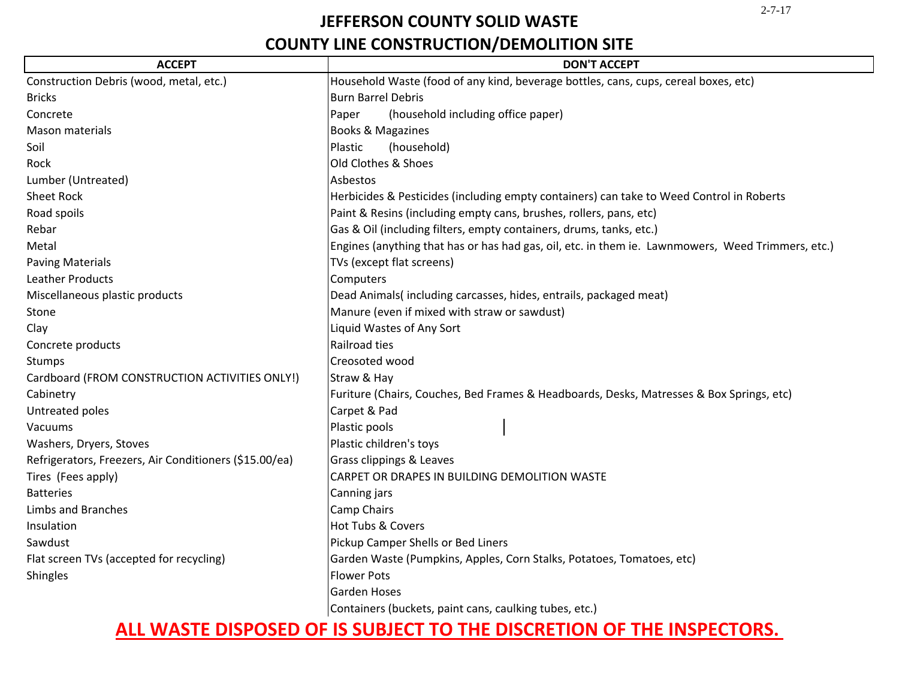# **JEFFERSON COUNTY SOLID WASTE**

# **COUNTY LINE CONSTRUCTION/DEMOLITION SITE**

| <b>ACCEPT</b>                                          | <b>DON'T ACCEPT</b>                                                                               |
|--------------------------------------------------------|---------------------------------------------------------------------------------------------------|
| Construction Debris (wood, metal, etc.)                | Household Waste (food of any kind, beverage bottles, cans, cups, cereal boxes, etc)               |
| <b>Bricks</b>                                          | <b>Burn Barrel Debris</b>                                                                         |
| Concrete                                               | (household including office paper)<br>Paper                                                       |
| Mason materials                                        | <b>Books &amp; Magazines</b>                                                                      |
| Soil                                                   | Plastic<br>(household)                                                                            |
| Rock                                                   | Old Clothes & Shoes                                                                               |
| Lumber (Untreated)                                     | Asbestos                                                                                          |
| <b>Sheet Rock</b>                                      | Herbicides & Pesticides (including empty containers) can take to Weed Control in Roberts          |
| Road spoils                                            | Paint & Resins (including empty cans, brushes, rollers, pans, etc)                                |
| Rebar                                                  | Gas & Oil (including filters, empty containers, drums, tanks, etc.)                               |
| Metal                                                  | Engines (anything that has or has had gas, oil, etc. in them ie. Lawnmowers, Weed Trimmers, etc.) |
| <b>Paving Materials</b>                                | TVs (except flat screens)                                                                         |
| <b>Leather Products</b>                                | Computers                                                                                         |
| Miscellaneous plastic products                         | Dead Animals(including carcasses, hides, entrails, packaged meat)                                 |
| Stone                                                  | Manure (even if mixed with straw or sawdust)                                                      |
| Clay                                                   | Liquid Wastes of Any Sort                                                                         |
| Concrete products                                      | Railroad ties                                                                                     |
| Stumps                                                 | Creosoted wood                                                                                    |
| Cardboard (FROM CONSTRUCTION ACTIVITIES ONLY!)         | Straw & Hay                                                                                       |
| Cabinetry                                              | Furiture (Chairs, Couches, Bed Frames & Headboards, Desks, Matresses & Box Springs, etc)          |
| Untreated poles                                        | Carpet & Pad                                                                                      |
| Vacuums                                                | Plastic pools                                                                                     |
| Washers, Dryers, Stoves                                | Plastic children's toys                                                                           |
| Refrigerators, Freezers, Air Conditioners (\$15.00/ea) | Grass clippings & Leaves                                                                          |
| Tires (Fees apply)                                     | CARPET OR DRAPES IN BUILDING DEMOLITION WASTE                                                     |
| <b>Batteries</b>                                       | Canning jars                                                                                      |
| <b>Limbs and Branches</b>                              | <b>Camp Chairs</b>                                                                                |
| Insulation                                             | Hot Tubs & Covers                                                                                 |
| Sawdust                                                | Pickup Camper Shells or Bed Liners                                                                |
| Flat screen TVs (accepted for recycling)               | Garden Waste (Pumpkins, Apples, Corn Stalks, Potatoes, Tomatoes, etc)                             |
| Shingles                                               | <b>Flower Pots</b>                                                                                |
|                                                        | <b>Garden Hoses</b>                                                                               |
|                                                        | Containers (buckets, paint cans, caulking tubes, etc.)                                            |

# **ALL WASTE DISPOSED OF IS SUBJECT TO THE DISCRETION OF THE INSPECTORS.**